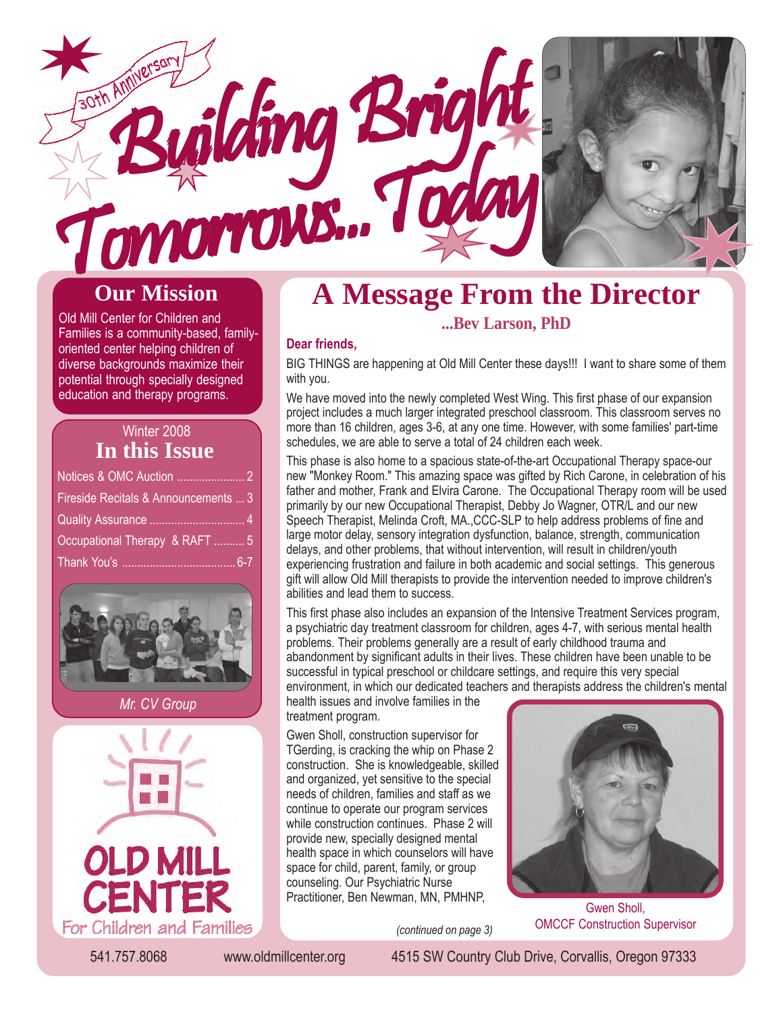

### **Our Mission**

Old Mill Center for Children and Families is a community-based, familyoriented center helping children of diverse backgrounds maximize their potential through specially designed education and therapy programs.

| Winter 2008                          |  |
|--------------------------------------|--|
| In this Issue                        |  |
|                                      |  |
| Fireside Recitals & Announcements  3 |  |
|                                      |  |
| Occupational Therapy & RAFT  5       |  |
|                                      |  |





### **A Message From the Director ...Bev Larson, PhD**

#### **Dear friends,**

BIG THINGS are happening at Old Mill Center these days!!! I want to share some of them with you.

We have moved into the newly completed West Wing. This first phase of our expansion project includes a much larger integrated preschool classroom. This classroom serves no more than 16 children, ages 3-6, at any one time. However, with some families' part-time schedules, we are able to serve a total of 24 children each week.

This phase is also home to a spacious state-of-the-art Occupational Therapy space-our new "Monkey Room." This amazing space was gifted by Rich Carone, in celebration of his father and mother, Frank and Elvira Carone. The Occupational Therapy room will be used primarily by our new Occupational Therapist, Debby Jo Wagner, OTR/L and our new Speech Therapist, Melinda Croft, MA.,CCC-SLP to help address problems of fine and large motor delay, sensory integration dysfunction, balance, strength, communication delays, and other problems, that without intervention, will result in children/youth experiencing frustration and failure in both academic and social settings. This generous gift will allow Old Mill therapists to provide the intervention needed to improve children's abilities and lead them to success.

This first phase also includes an expansion of the Intensive Treatment Services program, a psychiatric day treatment classroom for children, ages 4-7, with serious mental health problems. Their problems generally are a result of early childhood trauma and abandonment by significant adults in their lives. These children have been unable to be successful in typical preschool or childcare settings, and require this very special environment, in which our dedicated teachers and therapists address the children's mental

health issues and involve families in the treatment program.

Gwen Sholl, construction supervisor for TGerding, is cracking the whip on Phase 2 construction. She is knowledgeable, skilled and organized, yet sensitive to the special needs of children, families and staff as we continue to operate our program services while construction continues. Phase 2 will provide new, specially designed mental health space in which counselors will have space for child, parent, family, or group counseling. Our Psychiatric Nurse Practitioner, Ben Newman, MN, PMHNP,

*(continued on page 3)*



Gwen Sholl, OMCCF Construction Supervisor

541.757.8068 www.oldmillcenter.org 4515 SW Country Club Drive, Corvallis, Oregon 97333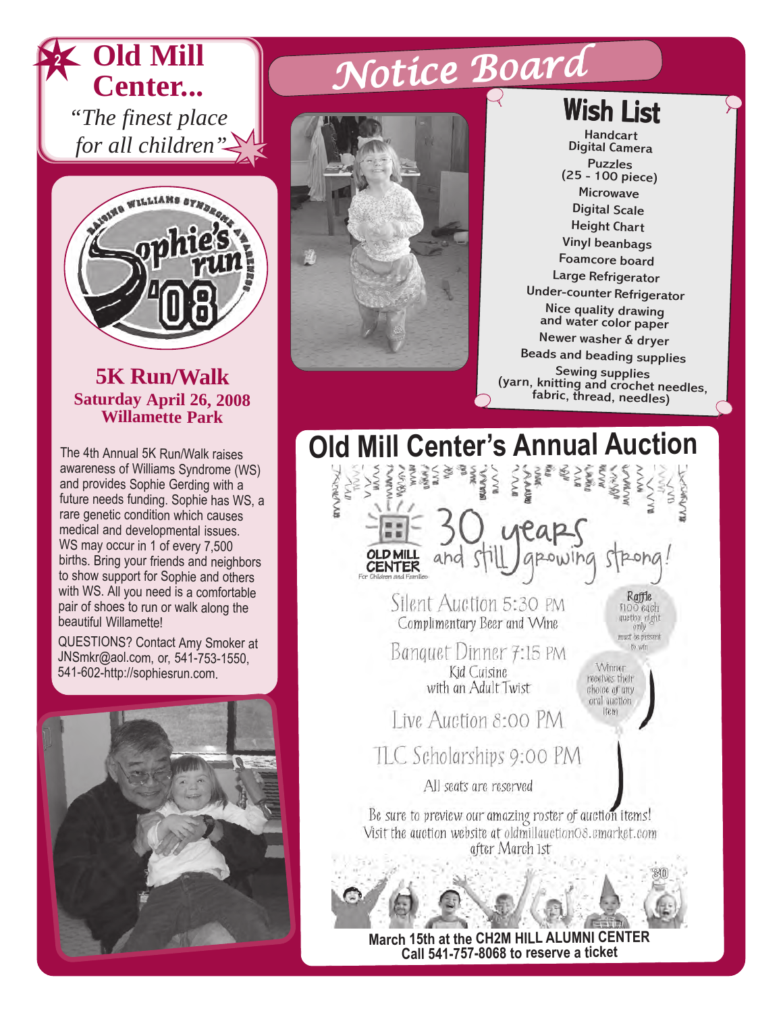



### **5K Run/Walk Saturday April 26, 2008 Willamette Park**

The 4th Annual 5K Run/Walk raises awareness of Williams Syndrome (WS) and provides Sophie Gerding with a future needs funding. Sophie has WS, a rare genetic condition which causes medical and developmental issues. WS may occur in 1 of every 7,500 births. Bring your friends and neighbors to show support for Sophie and others with WS. All you need is a comfortable pair of shoes to run or walk along the beautiful Willamette!

QUESTIONS? Contact Amy Smoker at JNSmkr@aol.com, or, 541-753-1550, 541-602-http://sophiesrun.com.



# Notice Board



**Wish List** 

Handcart Digital Camera Puzzles (25 - 100 piece) Microwave Digital Scale Height Chart Vinyl beanbags Foamcore board Large Refrigerator Under-counter Refrigerator Nice quality drawing and water color paper Newer washer & dryer Beads and beading supplies (yarn, knitting and crochet needles,<br>fabric, thread, needles)

**Old Mill Center's Annual Auction ANYAN**  $\sum_{n=1}^{\infty}$ ξ reap **OLD MILL CENTER** Raffle Silent Auction 5:30 PM  $100$  each quetion night Complimentary Beer and Wine onh must be present Banquet Dinner 7:15 PM to win Winner Kid Cuisine receives their with an Adult Twist choice of any oral auction (tem Live Augtion 8:00 PM TLC Scholarships 9:00 PM All seats are reserved Be sure to preview our amazing roster of auction items! Visit the auction website at oldmillauctionO8.cmarket.com after March 1st

> **March 15th at the CH2M HILL ALUMNI CENTER Call 541-757-8068 to reserve a ticket**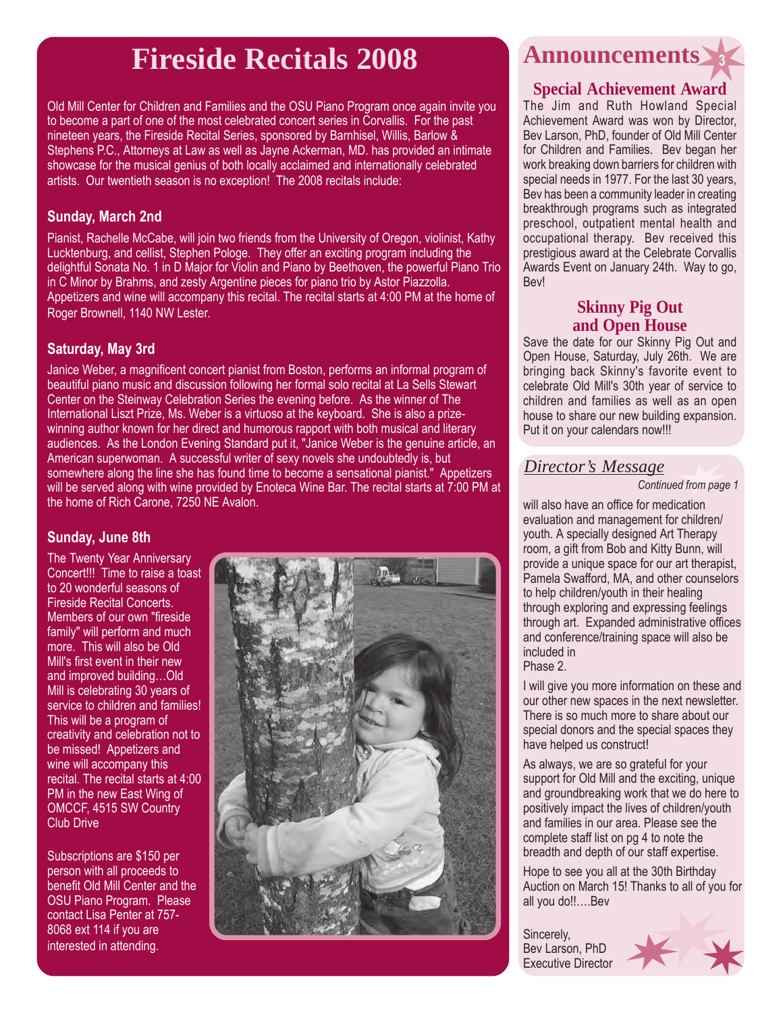### **Fireside Recitals 2008 <sup>3</sup>**

Old Mill Center for Children and Families and the OSU Piano Program once again invite you to become a part of one of the most celebrated concert series in Corvallis. For the past nineteen years, the Fireside Recital Series, sponsored by Barnhisel, Willis, Barlow & Stephens P.C., Attorneys at Law as well as Jayne Ackerman, MD. has provided an intimate showcase for the musical genius of both locally acclaimed and internationally celebrated artists. Our twentieth season is no exception! The 2008 recitals include:

#### **Sunday, March 2nd**

Pianist, Rachelle McCabe, will join two friends from the University of Oregon, violinist, Kathy Lucktenburg, and cellist, Stephen Pologe. They offer an exciting program including the delightful Sonata No. 1 in D Major for Violin and Piano by Beethoven, the powerful Piano Trio in C Minor by Brahms, and zesty Argentine pieces for piano trio by Astor Piazzolla. Appetizers and wine will accompany this recital. The recital starts at 4:00 PM at the home of Roger Brownell, 1140 NW Lester.

#### **Saturday, May 3rd**

Janice Weber, a magnificent concert pianist from Boston, performs an informal program of beautiful piano music and discussion following her formal solo recital at La Sells Stewart Center on the Steinway Celebration Series the evening before. As the winner of The International Liszt Prize, Ms. Weber is a virtuoso at the keyboard. She is also a prizewinning author known for her direct and humorous rapport with both musical and literary audiences. As the London Evening Standard put it, "Janice Weber is the genuine article, an American superwoman. A successful writer of sexy novels she undoubtedly is, but somewhere along the line she has found time to become a sensational pianist." Appetizers will be served along with wine provided by Enoteca Wine Bar. The recital starts at 7:00 PM at the home of Rich Carone, 7250 NE Avalon.

### **Sunday, June 8th**

The Twenty Year Anniversary Concert!!! Time to raise a toast to 20 wonderful seasons of Fireside Recital Concerts. Members of our own "fireside family" will perform and much more. This will also be Old Mill's first event in their new and improved building...Old Mill is celebrating 30 years of service to children and families! This will be a program of creativity and celebration not to be missed! Appetizers and wine will accompany this recital. The recital starts at 4:00 PM in the new East Wing of OMCCF, 4515 SW Country Club Drive

Subscriptions are \$150 per person with all proceeds to benefit Old Mill Center and the OSU Piano Program. Please contact Lisa Penter at 757- 8068 ext 114 if you are interested in attending.



## **Announcements**

### **Special Achievement Award**

The Jim and Ruth Howland Special Achievement Award was won by Director, Bev Larson, PhD, founder of Old Mill Center for Children and Families. Bev began her work breaking down barriers for children with special needs in 1977. For the last 30 years, Bev has been a community leader in creating breakthrough programs such as integrated preschool, outpatient mental health and occupational therapy. Bev received this prestigious award at the Celebrate Corvallis Awards Event on January 24th. Way to go, Bev!

### **Skinny Pig Out and Open House**

Save the date for our Skinny Pig Out and Open House, Saturday, July 26th. We are bringing back Skinny's favorite event to celebrate Old Mill's 30th year of service to children and families as well as an open house to share our new building expansion. Put it on your calendars now!!!

#### *Director's Message*

#### *Continued from page 1*

will also have an office for medication evaluation and management for children/ youth. A specially designed Art Therapy room, a gift from Bob and Kitty Bunn, will provide a unique space for our art therapist, Pamela Swafford, MA, and other counselors to help children/youth in their healing through exploring and expressing feelings through art. Expanded administrative offices and conference/training space will also be included in Phase 2.

I will give you more information on these and our other new spaces in the next newsletter. There is so much more to share about our special donors and the special spaces they have helped us construct!

As always, we are so grateful for your support for Old Mill and the exciting, unique and groundbreaking work that we do here to positively impact the lives of children/youth and families in our area. Please see the complete staff list on pg 4 to note the breadth and depth of our staff expertise.

Hope to see you all at the 30th Birthday Auction on March 15! Thanks to all of you for all you do!!....Bev

Sincerely, Bev Larson, PhD Executive Director

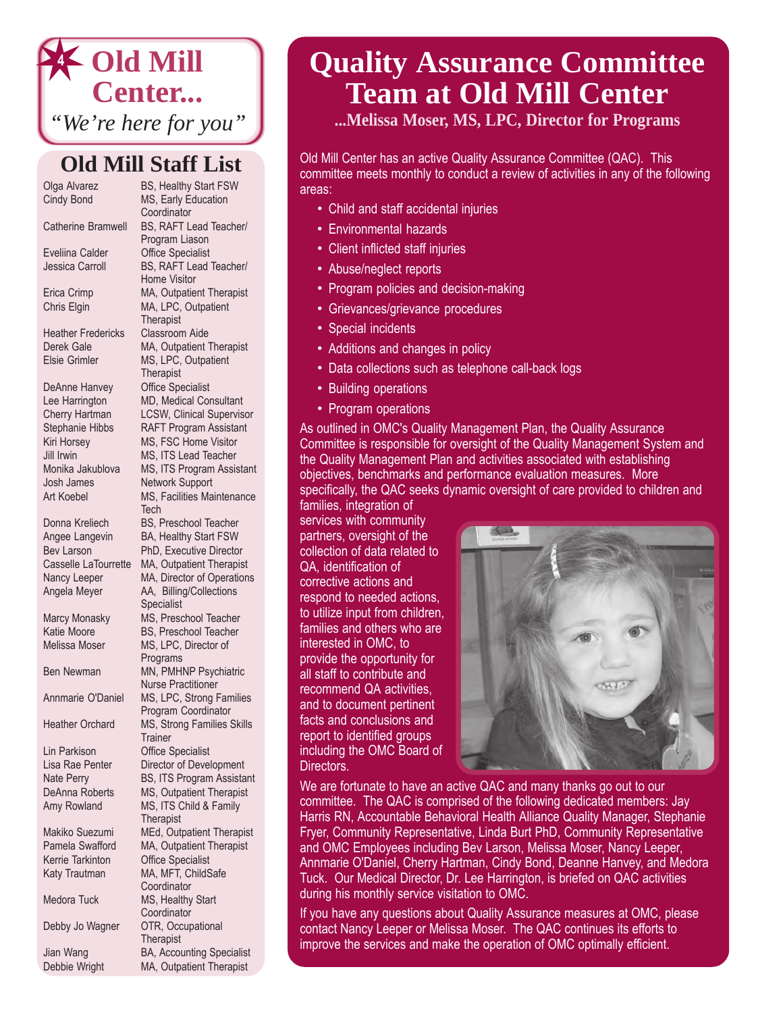### **Old Mill Center...** *"We're here for you"* **4**

### **Old Mill Staff List**

Heather Fredericks Classroom Aide

DeAnne Hanvey Office Specialist Josh James Network Support

Lin Parkison Office Specialist

Debbie Wright MA, Outpatient Therapist

Olga Alvarez **BS, Healthy Start FSW** Cindy Bond MS, Early Education **Coordinator** Catherine Bramwell BS, RAFT Lead Teacher/ Program Liason Eveliina Calder Office Specialist Jessica Carroll BS, RAFT Lead Teacher/ Home Visitor Erica Crimp MA, Outpatient Therapist Chris Elgin MA, LPC, Outpatient **Therapist** Derek Gale MA, Outpatient Therapist Elsie Grimler MS, LPC, Outpatient **Therapist** Lee Harrington MD, Medical Consultant Cherry Hartman LCSW, Clinical Supervisor Stephanie Hibbs RAFT Program Assistant Kiri Horsey MS, FSC Home Visitor Jill Irwin MS, ITS Lead Teacher Monika Jakublova MS, ITS Program Assistant Art Koebel MS, Facilities Maintenance **Tech** Donna Kreliech BS, Preschool Teacher Angee Langevin BA, Healthy Start FSW Bev Larson PhD, Executive Director Casselle LaTourrette MA, Outpatient Therapist Nancy Leeper MA, Director of Operations Angela Meyer AA, Billing/Collections Specialist Marcy Monasky MS, Preschool Teacher Katie Moore **BS, Preschool Teacher** Melissa Moser MS, LPC, Director of Programs Ben Newman MN, PMHNP Psychiatric Nurse Practitioner Annmarie O'Daniel MS, LPC, Strong Families Program Coordinator Heather Orchard MS, Strong Families Skills **Trainer** Lisa Rae Penter Director of Development Nate Perry **BS, ITS Program Assistant** DeAnna Roberts MS, Outpatient Therapist Amy Rowland MS, ITS Child & Family **Therapist** Makiko Suezumi MEd, Outpatient Therapist<br>Pamela Swafford MA. Outpatient Therapist MA, Outpatient Therapist Kerrie Tarkinton Office Specialist Katy Trautman MA, MFT, ChildSafe **Coordinator** Medora Tuck MS, Healthy Start **Coordinator** Debby Jo Wagner OTR, Occupational **Therapist** Jian Wang BA, Accounting Specialist

### **Quality Assurance Committee Team at Old Mill Center**

**...Melissa Moser, MS, LPC, Director for Programs**

Old Mill Center has an active Quality Assurance Committee (QAC). This committee meets monthly to conduct a review of activities in any of the following areas:

- Child and staff accidental injuries
- Environmental hazards
- Client inflicted staff injuries
- Abuse/neglect reports
- Program policies and decision-making
- Grievances/grievance procedures
- Special incidents
- Additions and changes in policy
- Data collections such as telephone call-back logs
- Building operations
- Program operations

As outlined in OMC's Quality Management Plan, the Quality Assurance Committee is responsible for oversight of the Quality Management System and the Quality Management Plan and activities associated with establishing objectives, benchmarks and performance evaluation measures. More specifically, the QAC seeks dynamic oversight of care provided to children and

families, integration of services with community partners, oversight of the collection of data related to QA, identification of corrective actions and respond to needed actions, to utilize input from children, families and others who are interested in OMC, to provide the opportunity for all staff to contribute and recommend QA activities, and to document pertinent facts and conclusions and report to identified groups including the OMC Board of Directors.



We are fortunate to have an active QAC and many thanks go out to our committee. The QAC is comprised of the following dedicated members: Jay Harris RN, Accountable Behavioral Health Alliance Quality Manager, Stephanie Fryer, Community Representative, Linda Burt PhD, Community Representative and OMC Employees including Bev Larson, Melissa Moser, Nancy Leeper, Annmarie O'Daniel, Cherry Hartman, Cindy Bond, Deanne Hanvey, and Medora Tuck. Our Medical Director, Dr. Lee Harrington, is briefed on QAC activities during his monthly service visitation to OMC.

If you have any questions about Quality Assurance measures at OMC, please contact Nancy Leeper or Melissa Moser. The QAC continues its efforts to improve the services and make the operation of OMC optimally efficient.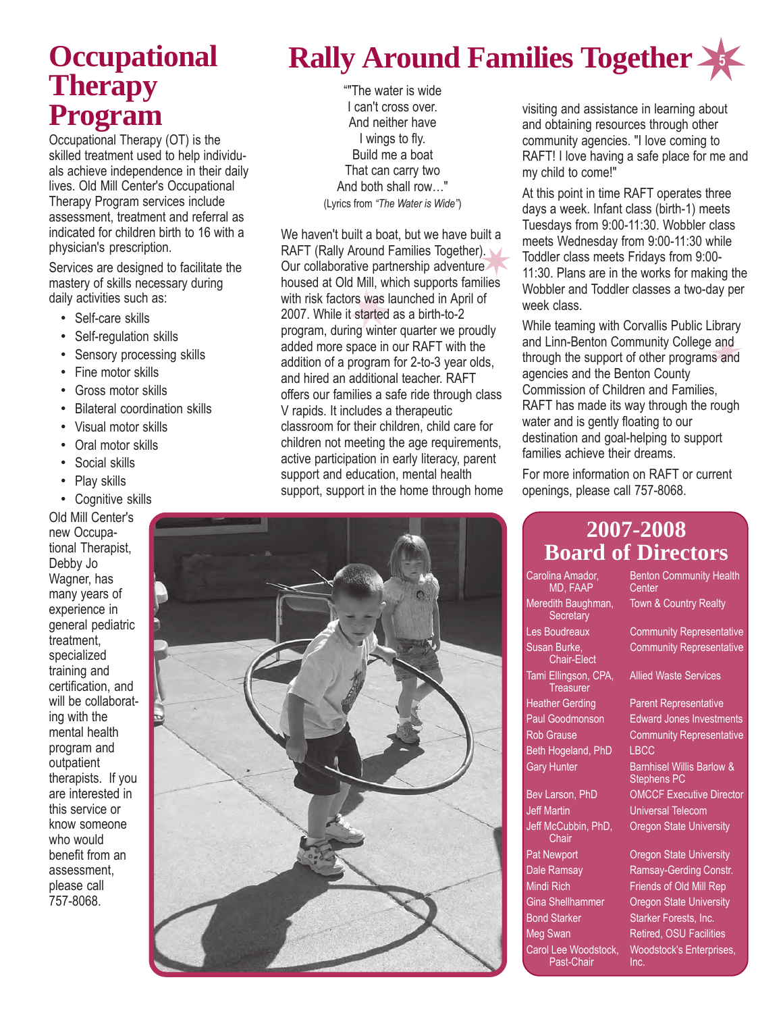### **Occupational Therapy Program**

Occupational Therapy (OT) is the skilled treatment used to help individuals achieve independence in their daily lives. Old Mill Center's Occupational Therapy Program services include assessment, treatment and referral as indicated for children birth to 16 with a physician's prescription.

Services are designed to facilitate the mastery of skills necessary during daily activities such as:

- Self-care skills
- Self-regulation skills
- Sensory processing skills
- Fine motor skills
- Gross motor skills
- Bilateral coordination skills
- Visual motor skills
- Oral motor skills
- Social skills
- Play skills
- Cognitive skills

Old Mill Center's new Occupational Therapist, Debby Jo Wagner, has many years of experience in general pediatric treatment, specialized training and certification, and will be collaborating with the mental health program and outpatient therapists. If you are interested in this service or know someone who would benefit from an assessment, please call 757-8068.

### **5 Rally Around Families Together**

"The water is wide I can't cross over. And neither have I wings to fly. Build me a boat That can carry two And both shall row..." (Lyrics from *ìThe Water is Wideî*)

We haven't built a boat, but we have built a RAFT (Rally Around Families Together). Our collaborative partnership adventure housed at Old Mill, which supports families with risk factors was launched in April of 2007. While it started as a birth-to-2 program, during winter quarter we proudly added more space in our RAFT with the addition of a program for 2-to-3 year olds, and hired an additional teacher. RAFT offers our families a safe ride through class V rapids. It includes a therapeutic classroom for their children, child care for children not meeting the age requirements, active participation in early literacy, parent support and education, mental health support, support in the home through home



visiting and assistance in learning about and obtaining resources through other community agencies. "I love coming to RAFT! I love having a safe place for me and my child to come!"

At this point in time RAFT operates three days a week. Infant class (birth-1) meets Tuesdays from 9:00-11:30. Wobbler class meets Wednesday from 9:00-11:30 while Toddler class meets Fridays from 9:00- 11:30. Plans are in the works for making the Wobbler and Toddler classes a two-day per week class.

While teaming with Corvallis Public Library and Linn-Benton Community College and through the support of other programs and agencies and the Benton County Commission of Children and Families, RAFT has made its way through the rough water and is gently floating to our destination and goal-helping to support families achieve their dreams.

For more information on RAFT or current openings, please call 757-8068.

|                                          | <b>Board of Directors</b>                                  |  |
|------------------------------------------|------------------------------------------------------------|--|
| Carolina Amador,<br><b>MD, FAAP</b>      | <b>Benton Community Health</b><br>Center                   |  |
| Meredith Baughman,<br>Secretary          | <b>Town &amp; Country Realty</b>                           |  |
| Les Boudreaux                            | <b>Community Representative</b>                            |  |
| Susan Burke,<br><b>Chair-Elect</b>       | <b>Community Representative</b>                            |  |
| Tami Ellingson, CPA,<br><b>Treasurer</b> | <b>Allied Waste Services</b>                               |  |
| <b>Heather Gerding</b>                   | <b>Parent Representative</b>                               |  |
| <b>Paul Goodmonson</b>                   | <b>Edward Jones Investments</b>                            |  |
| <b>Rob Grause</b>                        | <b>Community Representative</b>                            |  |
| Beth Hogeland, PhD                       | LBCC                                                       |  |
| <b>Gary Hunter</b>                       | <b>Barnhisel Willis Barlow &amp;</b><br><b>Stephens PC</b> |  |
| Bev Larson, PhD                          | <b>OMCCF</b> Executive Director                            |  |
| <b>Jeff Martin</b>                       | <b>Universal Telecom</b>                                   |  |
| Jeff McCubbin, PhD,<br>Chair             | <b>Oregon State University</b>                             |  |

Pat Newport **Conservation Cregon State University** Dale Ramsay Ramsay-Gerding Constr. Mindi Rich Friends of Old Mill Rep Gina Shellhammer Oregon State University Bond Starker Starker Forests, Inc. Meg Swan Retired, OSU Facilities Carol Lee Woodstock, Woodstock's Enterprises, Past-Chair Inc.

## **2007-2008**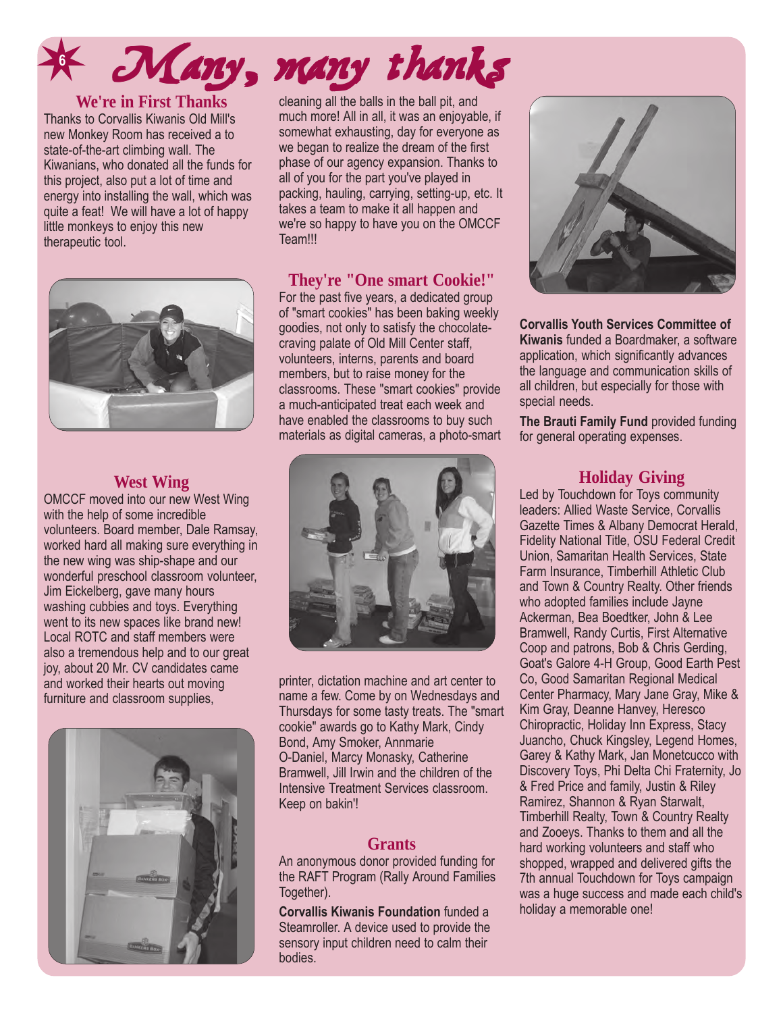### **6** Many, many thanks

#### **We're in First Thanks**

Thanks to Corvallis Kiwanis Old Mill's new Monkey Room has received a to state-of-the-art climbing wall. The Kiwanians, who donated all the funds for this project, also put a lot of time and energy into installing the wall, which was quite a feat! We will have a lot of happy little monkeys to enjoy this new therapeutic tool.



#### **West Wing**

OMCCF moved into our new West Wing with the help of some incredible volunteers. Board member, Dale Ramsay, worked hard all making sure everything in the new wing was ship-shape and our wonderful preschool classroom volunteer, Jim Eickelberg, gave many hours washing cubbies and toys. Everything went to its new spaces like brand new! Local ROTC and staff members were also a tremendous help and to our great joy, about 20 Mr. CV candidates came and worked their hearts out moving furniture and classroom supplies,



cleaning all the balls in the ball pit, and much more! All in all, it was an enjoyable, if somewhat exhausting, day for everyone as we began to realize the dream of the first phase of our agency expansion. Thanks to all of you for the part you've played in packing, hauling, carrying, setting-up, etc. It takes a team to make it all happen and we're so happy to have you on the OMCCF Team!!!

### **They're "One smart Cookie!"**

For the past five years, a dedicated group of "smart cookies" has been baking weekly goodies, not only to satisfy the chocolatecraving palate of Old Mill Center staff, volunteers, interns, parents and board members, but to raise money for the classrooms. These "smart cookies" provide a much-anticipated treat each week and have enabled the classrooms to buy such materials as digital cameras, a photo-smart



printer, dictation machine and art center to name a few. Come by on Wednesdays and Thursdays for some tasty treats. The "smart cookie" awards go to Kathy Mark, Cindy Bond, Amy Smoker, Annmarie O-Daniel, Marcy Monasky, Catherine Bramwell, Jill Irwin and the children of the Intensive Treatment Services classroom. Keep on bakin'!

#### **Grants**

An anonymous donor provided funding for the RAFT Program (Rally Around Families Together).

**Corvallis Kiwanis Foundation** funded a Steamroller. A device used to provide the sensory input children need to calm their bodies.



**Corvallis Youth Services Committee of Kiwanis** funded a Boardmaker, a software application, which significantly advances the language and communication skills of all children, but especially for those with special needs.

**The Brauti Family Fund** provided funding for general operating expenses.

### **Holiday Giving**

Led by Touchdown for Toys community leaders: Allied Waste Service, Corvallis Gazette Times & Albany Democrat Herald, Fidelity National Title, OSU Federal Credit Union, Samaritan Health Services, State Farm Insurance, Timberhill Athletic Club and Town & Country Realty. Other friends who adopted families include Jayne Ackerman, Bea Boedtker, John & Lee Bramwell, Randy Curtis, First Alternative Coop and patrons, Bob & Chris Gerding, Goat's Galore 4-H Group, Good Earth Pest Co, Good Samaritan Regional Medical Center Pharmacy, Mary Jane Gray, Mike & Kim Gray, Deanne Hanvey, Heresco Chiropractic, Holiday Inn Express, Stacy Juancho, Chuck Kingsley, Legend Homes, Garey & Kathy Mark, Jan Monetcucco with Discovery Toys, Phi Delta Chi Fraternity, Jo & Fred Price and family, Justin & Riley Ramirez, Shannon & Ryan Starwalt, Timberhill Realty, Town & Country Realty and Zooeys. Thanks to them and all the hard working volunteers and staff who shopped, wrapped and delivered gifts the 7th annual Touchdown for Toys campaign was a huge success and made each child's holiday a memorable one!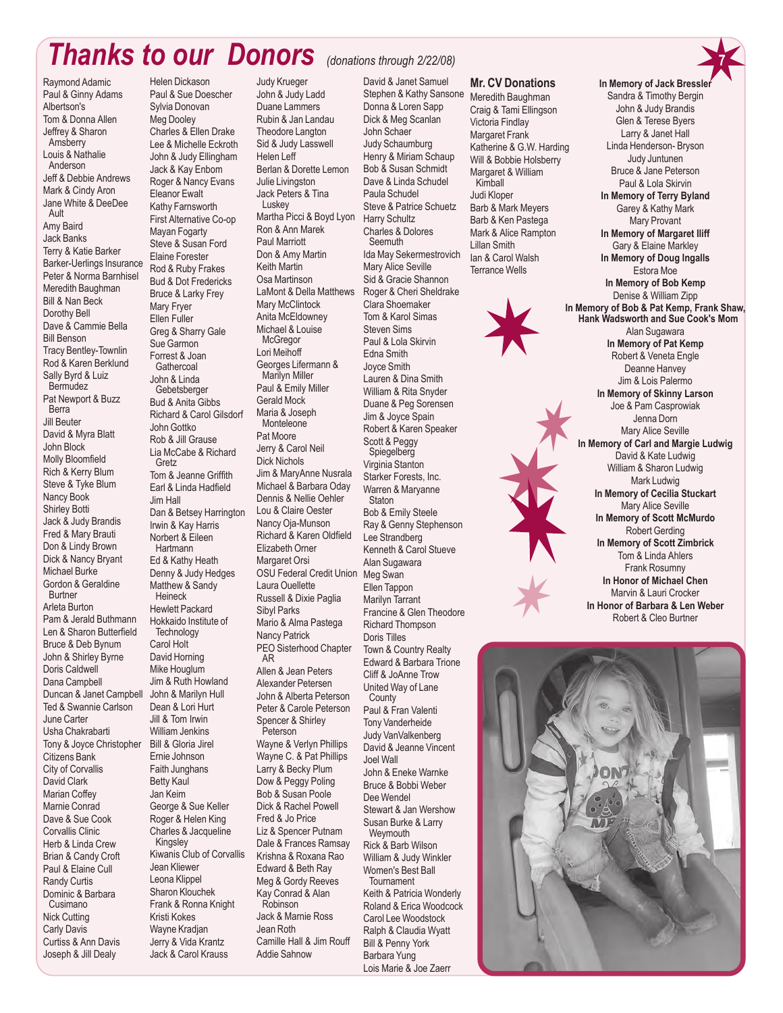### *Thanks to our Donors (donations through 2/22/08)*

Raymond Adamic Paul & Ginny Adams Albertson's Tom & Donna Allen Jeffrey & Sharon Amsberry Louis & Nathalie Anderson Jeff & Debbie Andrews Mark & Cindy Aron Jane White & DeeDee Ault Amy Baird Jack Banks Terry & Katie Barker Barker-Uerlings Insurance Peter & Norma Barnhisel Meredith Baughman Bill & Nan Beck Dorothy Bell Dave & Cammie Bella Bill Benson Tracy Bentley-Townlin Rod & Karen Berklund Sally Byrd & Luiz Bermudez Pat Newport & Buzz Berra Jill Beuter David & Myra Blatt John Block Molly Bloomfield Rich & Kerry Blum Steve & Tyke Blum Nancy Book Shirley Botti Jack & Judy Brandis Fred & Mary Brauti Don & Lindy Brown Dick & Nancy Bryant Michael Burke Gordon & Geraldine Burtner Arleta Burton Pam & Jerald Buthmann Len & Sharon Butterfield Bruce & Deb Bynum John & Shirley Byrne Doris Caldwell Dana Campbell Duncan & Janet Campbell John & Marilyn Hull Ted & Swannie Carlson June Carter Usha Chakrabarti Tony & Joyce Christopher Bill & Gloria Jirel Citizens Bank City of Corvallis David Clark Marian Coffey Marnie Conrad Dave & Sue Cook Corvallis Clinic Herb & Linda Crew Brian & Candy Croft Paul & Elaine Cull Randy Curtis Dominic & Barbara Cusimano Nick Cutting Carly Davis Curtiss & Ann Davis Joseph & Jill Dealy

Helen Dickason Paul & Sue Doescher Sylvia Donovan Meg Dooley Charles & Ellen Drake Lee & Michelle Eckroth John & Judy Ellingham Jack & Kay Enbom Roger & Nancy Evans Eleanor Ewalt Kathy Farnsworth First Alternative Co-op Mayan Fogarty Steve & Susan Ford Elaine Forester Rod & Ruby Frakes Bud & Dot Fredericks Bruce & Larky Frey Mary Fryer Ellen Fuller Greg & Sharry Gale Sue Garmon Forrest & Joan **Gathercoal** John & Linda **Gebetsberger** Bud & Anita Gibbs Richard & Carol Gilsdorf John Gottko Rob & Jill Grause Lia McCabe & Richard Gretz Tom & Jeanne Griffith Earl & Linda Hadfield Jim Hall Dan & Betsey Harrington Irwin & Kay Harris Norbert & Eileen Hartmann Ed & Kathy Heath Denny & Judy Hedges Matthew & Sandy **Heineck** Hewlett Packard Hokkaido Institute of **Technology** Carol Holt David Horning Mike Houglum Jim & Ruth Howland Dean & Lori Hurt Jill & Tom Irwin William Jenkins Ernie Johnson Faith Junghans Betty Kaul Jan Keim George & Sue Keller Roger & Helen King Charles & Jacqueline Kingsley Kiwanis Club of Corvallis Jean Kliewer Leona Klippel Sharon Klouchek Frank & Ronna Knight Kristi Kokes Wayne Kradjan Jerry & Vida Krantz Jack & Carol Krauss

#### Judy Krueger John & Judy Ladd Duane Lammers Rubin & Jan Landau Theodore Langton Sid & Judy Lasswell Helen Leff Berlan & Dorette Lemon Julie Livingston Jack Peters & Tina **Luskey** Martha Picci & Boyd Lyon Ron & Ann Marek Paul Marriott Don & Amy Martin Keith Martin Osa Martinson LaMont & Della Matthews Mary McClintock Anita McEldowney Michael & Louise **McGregor** Lori Meihoff Georges Lifermann & Marilyn Miller Paul & Emily Miller Gerald Mock Maria & Joseph Monteleone Pat Moore Jerry & Carol Neil Dick Nichols Jim & MaryAnne Nusrala Michael & Barbara Oday Dennis & Nellie Oehler Lou & Claire Oester Nancy Oja-Munson Richard & Karen Oldfield Elizabeth Orner Margaret Orsi OSU Federal Credit Union Meg Swan Laura Ouellette Russell & Dixie Paglia Sibyl Parks Mario & Alma Pastega Nancy Patrick PEO Sisterhood Chapter AR Allen & Jean Peters Alexander Petersen John & Alberta Peterson Peter & Carole Peterson Spencer & Shirley Peterson Wayne & Verlyn Phillips Wayne C. & Pat Phillips Larry & Becky Plum Dow & Peggy Poling Bob & Susan Poole Dick & Rachel Powell Fred & Jo Price Liz & Spencer Putnam Dale & Frances Ramsay Krishna & Roxana Rao Edward & Beth Ray Meg & Gordy Reeves Kay Conrad & Alan Robinson Jack & Marnie Ross Jean Roth Camille Hall & Jim Rouff Addie Sahnow

David & Janet Samuel Stephen & Kathy Sansone Donna & Loren Sapp Dick & Meg Scanlan John Schaer Judy Schaumburg Henry & Miriam Schaup Bob & Susan Schmidt Dave & Linda Schudel Paula Schudel Steve & Patrice Schuetz Harry Schultz Charles & Dolores Seemuth Ida May Sekermestrovich Mary Alice Seville Sid & Gracie Shannon Roger & Cheri Sheldrake Clara Shoemaker Tom & Karol Simas Steven Sims Paul & Lola Skirvin Edna Smith Joyce Smith Lauren & Dina Smith William & Rita Snyder Duane & Peg Sorensen Jim & Joyce Spain Robert & Karen Speaker Scott & Peggy **Spiegelberg** Virginia Stanton Starker Forests, Inc. Warren & Maryanne **Staton** Bob & Emily Steele Ray & Genny Stephenson Lee Strandberg Kenneth & Carol Stueve Alan Sugawara Ellen Tappon Marilyn Tarrant Francine & Glen Theodore Richard Thompson Doris Tilles Town & Country Realty Edward & Barbara Trione Cliff & JoAnne Trow United Way of Lane **County** Paul & Fran Valenti Tony Vanderheide Judy VanValkenberg David & Jeanne Vincent Joel Wall John & Eneke Warnke Bruce & Bobbi Weber Dee Wendel Stewart & Jan Wershow Susan Burke & Larry **Weymouth** Rick & Barb Wilson William & Judy Winkler Women's Best Ball **Tournament** Keith & Patricia Wonderly Roland & Erica Woodcock Carol Lee Woodstock Ralph & Claudia Wyatt Bill & Penny York Barbara Yung

Lois Marie & Joe Zaerr

#### **Mr. CV Donations**

Meredith Baughman Craig & Tami Ellingson Victoria Findlay Margaret Frank Katherine & G.W. Harding Will & Bobbie Holsberry Margaret & William Kimball Judi Kloper Barb & Mark Meyers Barb & Ken Pastega Mark & Alice Rampton Lillan Smith Ian & Carol Walsh Terrance Wells





**In Memory of Jack Bressl** Sandra & Timothy Bergin John & Judy Brandis

**7**

Marvin & Lauri Crocker **In Honor of Barbara & Len Weber** Robert & Cleo Burtner